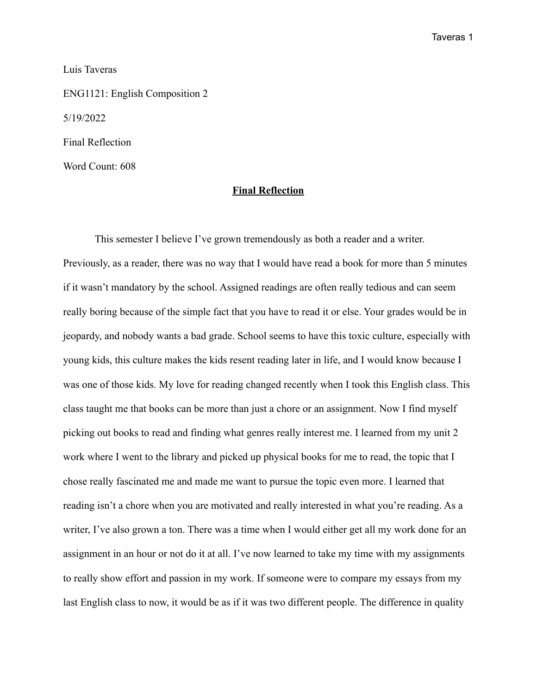Taveras 1

Luis Taveras

ENG1121: English Composition 2 5/19/2022 Final Reflection Word Count: 608

## **Final Reflection**

This semester I believe I've grown tremendously as both a reader and a writer. Previously, as a reader, there was no way that I would have read a book for more than 5 minutes if it wasn't mandatory by the school. Assigned readings are often really tedious and can seem really boring because of the simple fact that you have to read it or else. Your grades would be in jeopardy, and nobody wants a bad grade. School seems to have this toxic culture, especially with young kids, this culture makes the kids resent reading later in life, and I would know because I was one of those kids. My love for reading changed recently when I took this English class. This class taught me that books can be more than just a chore or an assignment. Now I find myself picking out books to read and finding what genres really interest me. I learned from my unit 2 work where I went to the library and picked up physical books for me to read, the topic that I chose really fascinated me and made me want to pursue the topic even more. I learned that reading isn't a chore when you are motivated and really interested in what you're reading. As a writer, I've also grown a ton. There was a time when I would either get all my work done for an assignment in an hour or not do it at all. I've now learned to take my time with my assignments to really show effort and passion in my work. If someone were to compare my essays from my last English class to now, it would be as if it was two different people. The difference in quality